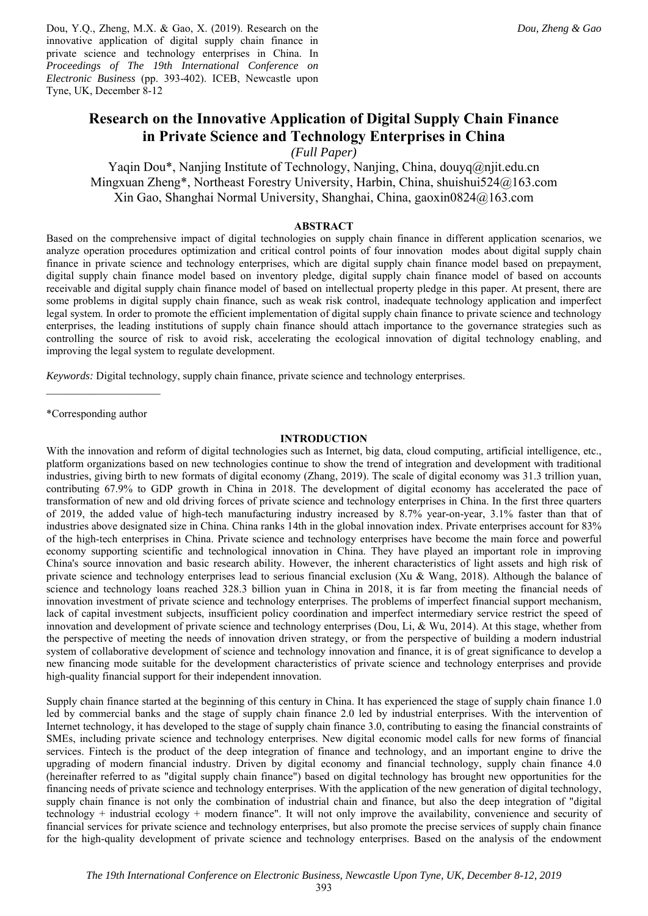Dou, Y.Q., Zheng, M.X. & Gao, X. (2019). Research on the innovative application of digital supply chain finance in private science and technology enterprises in China. In *Proceedings of The 19th International Conference on Electronic Business* (pp. 393-402). ICEB, Newcastle upon Tyne, UK, December 8-12

# **Research on the Innovative Application of Digital Supply Chain Finance in Private Science and Technology Enterprises in China**

*(Full Paper)* 

Yaqin Dou\*, Nanjing Institute of Technology, Nanjing, China, douyq@njit.edu.cn Mingxuan Zheng\*, Northeast Forestry University, Harbin, China, shuishui524@163.com Xin Gao, Shanghai Normal University, Shanghai, China, gaoxin0824@163.com

## **ABSTRACT**

Based on the comprehensive impact of digital technologies on supply chain finance in different application scenarios, we analyze operation procedures optimization and critical control points of four innovation modes about digital supply chain finance in private science and technology enterprises, which are digital supply chain finance model based on prepayment, digital supply chain finance model based on inventory pledge, digital supply chain finance model of based on accounts receivable and digital supply chain finance model of based on intellectual property pledge in this paper. At present, there are some problems in digital supply chain finance, such as weak risk control, inadequate technology application and imperfect legal system. In order to promote the efficient implementation of digital supply chain finance to private science and technology enterprises, the leading institutions of supply chain finance should attach importance to the governance strategies such as controlling the source of risk to avoid risk, accelerating the ecological innovation of digital technology enabling, and improving the legal system to regulate development.

*Keywords:* Digital technology, supply chain finance, private science and technology enterprises.

\*Corresponding author

#### **INTRODUCTION**

With the innovation and reform of digital technologies such as Internet, big data, cloud computing, artificial intelligence, etc., platform organizations based on new technologies continue to show the trend of integration and development with traditional industries, giving birth to new formats of digital economy (Zhang, 2019). The scale of digital economy was 31.3 trillion yuan, contributing 67.9% to GDP growth in China in 2018. The development of digital economy has accelerated the pace of transformation of new and old driving forces of private science and technology enterprises in China. In the first three quarters of 2019, the added value of high-tech manufacturing industry increased by 8.7% year-on-year, 3.1% faster than that of industries above designated size in China. China ranks 14th in the global innovation index. Private enterprises account for 83% of the high-tech enterprises in China. Private science and technology enterprises have become the main force and powerful economy supporting scientific and technological innovation in China. They have played an important role in improving China's source innovation and basic research ability. However, the inherent characteristics of light assets and high risk of private science and technology enterprises lead to serious financial exclusion (Xu & Wang, 2018). Although the balance of science and technology loans reached 328.3 billion yuan in China in 2018, it is far from meeting the financial needs of innovation investment of private science and technology enterprises. The problems of imperfect financial support mechanism, lack of capital investment subjects, insufficient policy coordination and imperfect intermediary service restrict the speed of innovation and development of private science and technology enterprises (Dou, Li, & Wu, 2014). At this stage, whether from the perspective of meeting the needs of innovation driven strategy, or from the perspective of building a modern industrial system of collaborative development of science and technology innovation and finance, it is of great significance to develop a new financing mode suitable for the development characteristics of private science and technology enterprises and provide high-quality financial support for their independent innovation.

Supply chain finance started at the beginning of this century in China. It has experienced the stage of supply chain finance 1.0 led by commercial banks and the stage of supply chain finance 2.0 led by industrial enterprises. With the intervention of Internet technology, it has developed to the stage of supply chain finance 3.0, contributing to easing the financial constraints of SMEs, including private science and technology enterprises. New digital economic model calls for new forms of financial services. Fintech is the product of the deep integration of finance and technology, and an important engine to drive the upgrading of modern financial industry. Driven by digital economy and financial technology, supply chain finance 4.0 (hereinafter referred to as "digital supply chain finance") based on digital technology has brought new opportunities for the financing needs of private science and technology enterprises. With the application of the new generation of digital technology, supply chain finance is not only the combination of industrial chain and finance, but also the deep integration of "digital technology + industrial ecology + modern finance". It will not only improve the availability, convenience and security of financial services for private science and technology enterprises, but also promote the precise services of supply chain finance for the high-quality development of private science and technology enterprises. Based on the analysis of the endowment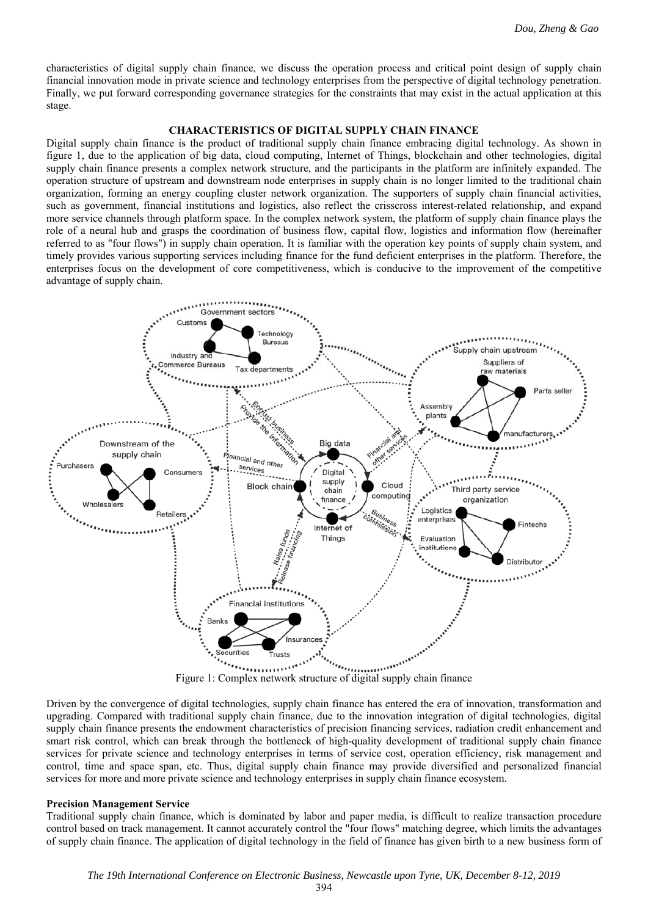characteristics of digital supply chain finance, we discuss the operation process and critical point design of supply chain financial innovation mode in private science and technology enterprises from the perspective of digital technology penetration. Finally, we put forward corresponding governance strategies for the constraints that may exist in the actual application at this stage.

#### **CHARACTERISTICS OF DIGITAL SUPPLY CHAIN FINANCE**

Digital supply chain finance is the product of traditional supply chain finance embracing digital technology. As shown in figure 1, due to the application of big data, cloud computing, Internet of Things, blockchain and other technologies, digital supply chain finance presents a complex network structure, and the participants in the platform are infinitely expanded. The operation structure of upstream and downstream node enterprises in supply chain is no longer limited to the traditional chain organization, forming an energy coupling cluster network organization. The supporters of supply chain financial activities, such as government, financial institutions and logistics, also reflect the crisscross interest-related relationship, and expand more service channels through platform space. In the complex network system, the platform of supply chain finance plays the role of a neural hub and grasps the coordination of business flow, capital flow, logistics and information flow (hereinafter referred to as "four flows") in supply chain operation. It is familiar with the operation key points of supply chain system, and timely provides various supporting services including finance for the fund deficient enterprises in the platform. Therefore, the enterprises focus on the development of core competitiveness, which is conducive to the improvement of the competitive advantage of supply chain.



Figure 1: Complex network structure of digital supply chain finance

Driven by the convergence of digital technologies, supply chain finance has entered the era of innovation, transformation and upgrading. Compared with traditional supply chain finance, due to the innovation integration of digital technologies, digital supply chain finance presents the endowment characteristics of precision financing services, radiation credit enhancement and smart risk control, which can break through the bottleneck of high-quality development of traditional supply chain finance services for private science and technology enterprises in terms of service cost, operation efficiency, risk management and control, time and space span, etc. Thus, digital supply chain finance may provide diversified and personalized financial services for more and more private science and technology enterprises in supply chain finance ecosystem.

#### **Precision Management Service**

Traditional supply chain finance, which is dominated by labor and paper media, is difficult to realize transaction procedure control based on track management. It cannot accurately control the "four flows" matching degree, which limits the advantages of supply chain finance. The application of digital technology in the field of finance has given birth to a new business form of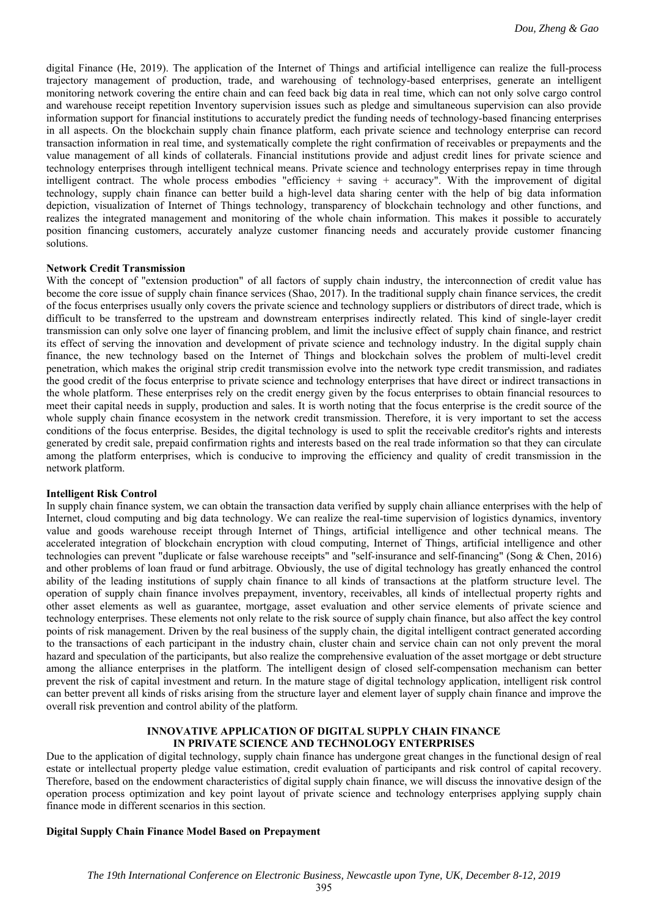digital Finance (He, 2019). The application of the Internet of Things and artificial intelligence can realize the full-process trajectory management of production, trade, and warehousing of technology-based enterprises, generate an intelligent monitoring network covering the entire chain and can feed back big data in real time, which can not only solve cargo control and warehouse receipt repetition Inventory supervision issues such as pledge and simultaneous supervision can also provide information support for financial institutions to accurately predict the funding needs of technology-based financing enterprises in all aspects. On the blockchain supply chain finance platform, each private science and technology enterprise can record transaction information in real time, and systematically complete the right confirmation of receivables or prepayments and the value management of all kinds of collaterals. Financial institutions provide and adjust credit lines for private science and technology enterprises through intelligent technical means. Private science and technology enterprises repay in time through intelligent contract. The whole process embodies "efficiency + saving + accuracy". With the improvement of digital technology, supply chain finance can better build a high-level data sharing center with the help of big data information depiction, visualization of Internet of Things technology, transparency of blockchain technology and other functions, and realizes the integrated management and monitoring of the whole chain information. This makes it possible to accurately position financing customers, accurately analyze customer financing needs and accurately provide customer financing solutions.

### **Network Credit Transmission**

With the concept of "extension production" of all factors of supply chain industry, the interconnection of credit value has become the core issue of supply chain finance services (Shao, 2017). In the traditional supply chain finance services, the credit of the focus enterprises usually only covers the private science and technology suppliers or distributors of direct trade, which is difficult to be transferred to the upstream and downstream enterprises indirectly related. This kind of single-layer credit transmission can only solve one layer of financing problem, and limit the inclusive effect of supply chain finance, and restrict its effect of serving the innovation and development of private science and technology industry. In the digital supply chain finance, the new technology based on the Internet of Things and blockchain solves the problem of multi-level credit penetration, which makes the original strip credit transmission evolve into the network type credit transmission, and radiates the good credit of the focus enterprise to private science and technology enterprises that have direct or indirect transactions in the whole platform. These enterprises rely on the credit energy given by the focus enterprises to obtain financial resources to meet their capital needs in supply, production and sales. It is worth noting that the focus enterprise is the credit source of the whole supply chain finance ecosystem in the network credit transmission. Therefore, it is very important to set the access conditions of the focus enterprise. Besides, the digital technology is used to split the receivable creditor's rights and interests generated by credit sale, prepaid confirmation rights and interests based on the real trade information so that they can circulate among the platform enterprises, which is conducive to improving the efficiency and quality of credit transmission in the network platform.

#### **Intelligent Risk Control**

In supply chain finance system, we can obtain the transaction data verified by supply chain alliance enterprises with the help of Internet, cloud computing and big data technology. We can realize the real-time supervision of logistics dynamics, inventory value and goods warehouse receipt through Internet of Things, artificial intelligence and other technical means. The accelerated integration of blockchain encryption with cloud computing, Internet of Things, artificial intelligence and other technologies can prevent "duplicate or false warehouse receipts" and "self-insurance and self-financing" (Song & Chen, 2016) and other problems of loan fraud or fund arbitrage. Obviously, the use of digital technology has greatly enhanced the control ability of the leading institutions of supply chain finance to all kinds of transactions at the platform structure level. The operation of supply chain finance involves prepayment, inventory, receivables, all kinds of intellectual property rights and other asset elements as well as guarantee, mortgage, asset evaluation and other service elements of private science and technology enterprises. These elements not only relate to the risk source of supply chain finance, but also affect the key control points of risk management. Driven by the real business of the supply chain, the digital intelligent contract generated according to the transactions of each participant in the industry chain, cluster chain and service chain can not only prevent the moral hazard and speculation of the participants, but also realize the comprehensive evaluation of the asset mortgage or debt structure among the alliance enterprises in the platform. The intelligent design of closed self-compensation mechanism can better prevent the risk of capital investment and return. In the mature stage of digital technology application, intelligent risk control can better prevent all kinds of risks arising from the structure layer and element layer of supply chain finance and improve the overall risk prevention and control ability of the platform.

## **INNOVATIVE APPLICATION OF DIGITAL SUPPLY CHAIN FINANCE IN PRIVATE SCIENCE AND TECHNOLOGY ENTERPRISES**

Due to the application of digital technology, supply chain finance has undergone great changes in the functional design of real estate or intellectual property pledge value estimation, credit evaluation of participants and risk control of capital recovery. Therefore, based on the endowment characteristics of digital supply chain finance, we will discuss the innovative design of the operation process optimization and key point layout of private science and technology enterprises applying supply chain finance mode in different scenarios in this section.

#### **Digital Supply Chain Finance Model Based on Prepayment**

395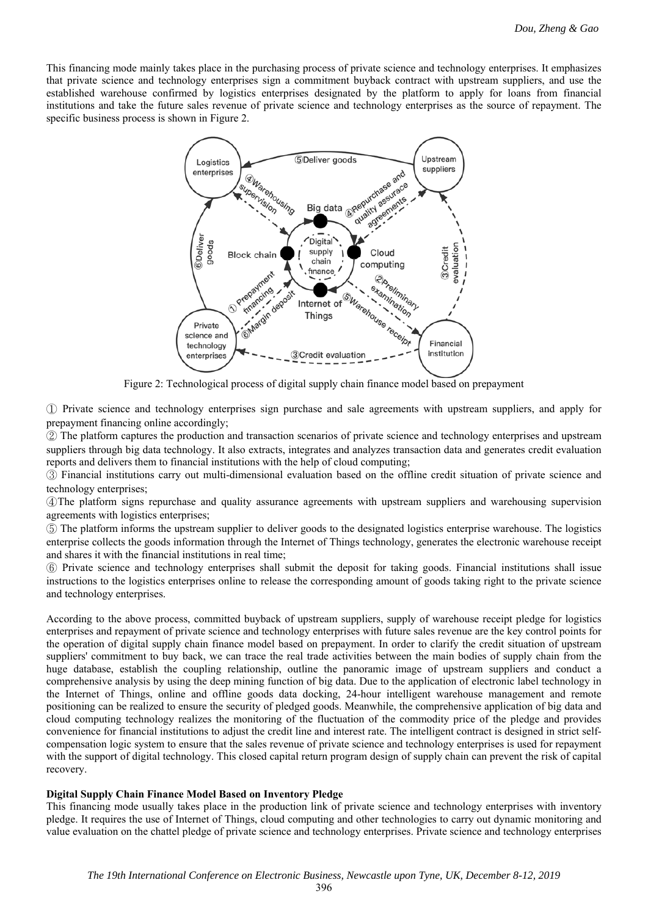This financing mode mainly takes place in the purchasing process of private science and technology enterprises. It emphasizes that private science and technology enterprises sign a commitment buyback contract with upstream suppliers, and use the established warehouse confirmed by logistics enterprises designated by the platform to apply for loans from financial institutions and take the future sales revenue of private science and technology enterprises as the source of repayment. The specific business process is shown in Figure 2.



Figure 2: Technological process of digital supply chain finance model based on prepayment

① Private science and technology enterprises sign purchase and sale agreements with upstream suppliers, and apply for prepayment financing online accordingly;

② The platform captures the production and transaction scenarios of private science and technology enterprises and upstream suppliers through big data technology. It also extracts, integrates and analyzes transaction data and generates credit evaluation reports and delivers them to financial institutions with the help of cloud computing;

③ Financial institutions carry out multi-dimensional evaluation based on the offline credit situation of private science and technology enterprises;

④The platform signs repurchase and quality assurance agreements with upstream suppliers and warehousing supervision agreements with logistics enterprises;

⑤ The platform informs the upstream supplier to deliver goods to the designated logistics enterprise warehouse. The logistics enterprise collects the goods information through the Internet of Things technology, generates the electronic warehouse receipt and shares it with the financial institutions in real time;

⑥ Private science and technology enterprises shall submit the deposit for taking goods. Financial institutions shall issue instructions to the logistics enterprises online to release the corresponding amount of goods taking right to the private science and technology enterprises.

According to the above process, committed buyback of upstream suppliers, supply of warehouse receipt pledge for logistics enterprises and repayment of private science and technology enterprises with future sales revenue are the key control points for the operation of digital supply chain finance model based on prepayment. In order to clarify the credit situation of upstream suppliers' commitment to buy back, we can trace the real trade activities between the main bodies of supply chain from the huge database, establish the coupling relationship, outline the panoramic image of upstream suppliers and conduct a comprehensive analysis by using the deep mining function of big data. Due to the application of electronic label technology in the Internet of Things, online and offline goods data docking, 24-hour intelligent warehouse management and remote positioning can be realized to ensure the security of pledged goods. Meanwhile, the comprehensive application of big data and cloud computing technology realizes the monitoring of the fluctuation of the commodity price of the pledge and provides convenience for financial institutions to adjust the credit line and interest rate. The intelligent contract is designed in strict selfcompensation logic system to ensure that the sales revenue of private science and technology enterprises is used for repayment with the support of digital technology. This closed capital return program design of supply chain can prevent the risk of capital recovery.

## **Digital Supply Chain Finance Model Based on Inventory Pledge**

This financing mode usually takes place in the production link of private science and technology enterprises with inventory pledge. It requires the use of Internet of Things, cloud computing and other technologies to carry out dynamic monitoring and value evaluation on the chattel pledge of private science and technology enterprises. Private science and technology enterprises

396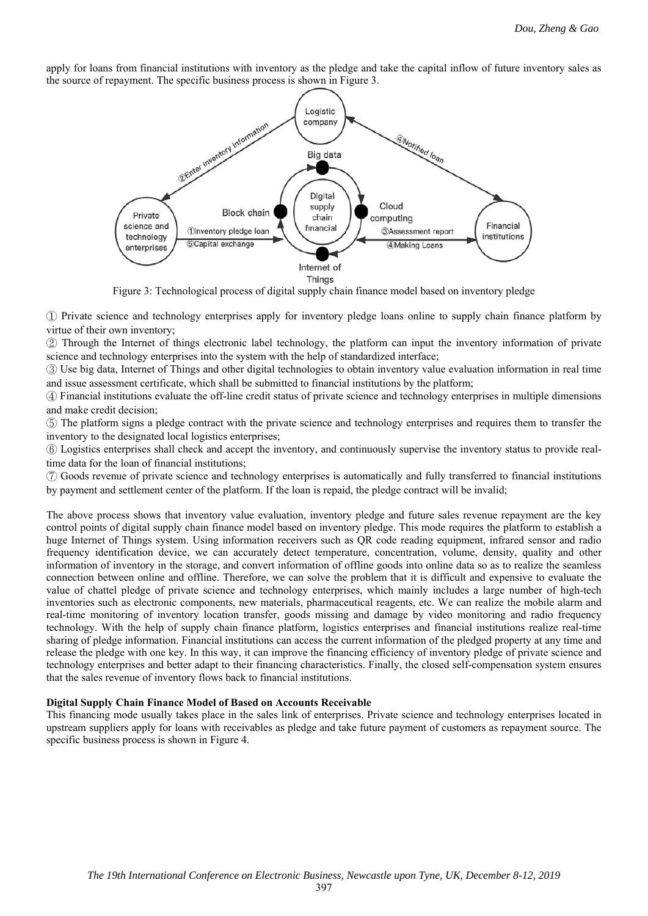apply for loans from financial institutions with inventory as the pledge and take the capital inflow of future inventory sales as the source of repayment. The specific business process is shown in Figure 3.



Figure 3: Technological process of digital supply chain finance model based on inventory pledge

① Private science and technology enterprises apply for inventory pledge loans online to supply chain finance platform by virtue of their own inventory;

② Through the Internet of things electronic label technology, the platform can input the inventory information of private science and technology enterprises into the system with the help of standardized interface;

③ Use big data, Internet of Things and other digital technologies to obtain inventory value evaluation information in real time and issue assessment certificate, which shall be submitted to financial institutions by the platform;

④ Financial institutions evaluate the off-line credit status of private science and technology enterprises in multiple dimensions and make credit decision;

⑤ The platform signs a pledge contract with the private science and technology enterprises and requires them to transfer the inventory to the designated local logistics enterprises;

⑥ Logistics enterprises shall check and accept the inventory, and continuously supervise the inventory status to provide realtime data for the loan of financial institutions;

⑦ Goods revenue of private science and technology enterprises is automatically and fully transferred to financial institutions

by payment and settlement center of the platform. If the loan is repaid, the pledge contract will be invalid;

The above process shows that inventory value evaluation, inventory pledge and future sales revenue repayment are the key control points of digital supply chain finance model based on inventory pledge. This mode requires the platform to establish a huge Internet of Things system. Using information receivers such as QR code reading equipment, infrared sensor and radio frequency identification device, we can accurately detect temperature, concentration, volume, density, quality and other information of inventory in the storage, and convert information of offline goods into online data so as to realize the seamless connection between online and offline. Therefore, we can solve the problem that it is difficult and expensive to evaluate the value of chattel pledge of private science and technology enterprises, which mainly includes a large number of high-tech inventories such as electronic components, new materials, pharmaceutical reagents, etc. We can realize the mobile alarm and real-time monitoring of inventory location transfer, goods missing and damage by video monitoring and radio frequency technology. With the help of supply chain finance platform, logistics enterprises and financial institutions realize real-time sharing of pledge information. Financial institutions can access the current information of the pledged property at any time and release the pledge with one key. In this way, it can improve the financing efficiency of inventory pledge of private science and technology enterprises and better adapt to their financing characteristics. Finally, the closed self-compensation system ensures that the sales revenue of inventory flows back to financial institutions.

#### **Digital Supply Chain Finance Model of Based on Accounts Receivable**

This financing mode usually takes place in the sales link of enterprises. Private science and technology enterprises located in upstream suppliers apply for loans with receivables as pledge and take future payment of customers as repayment source. The specific business process is shown in Figure 4.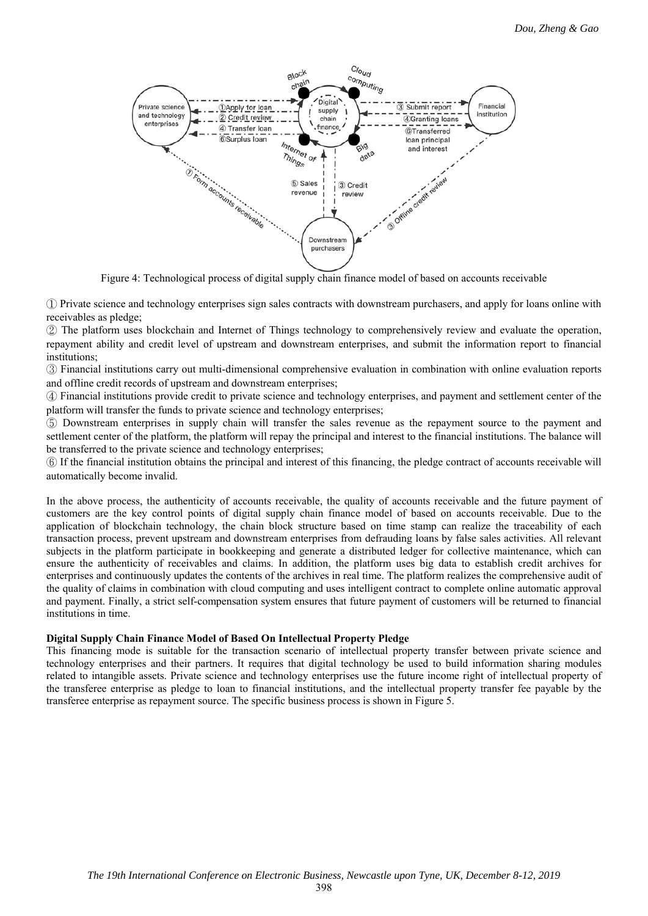

Figure 4: Technological process of digital supply chain finance model of based on accounts receivable

① Private science and technology enterprises sign sales contracts with downstream purchasers, and apply for loans online with receivables as pledge;

② The platform uses blockchain and Internet of Things technology to comprehensively review and evaluate the operation, repayment ability and credit level of upstream and downstream enterprises, and submit the information report to financial institutions;

③ Financial institutions carry out multi-dimensional comprehensive evaluation in combination with online evaluation reports and offline credit records of upstream and downstream enterprises;

④ Financial institutions provide credit to private science and technology enterprises, and payment and settlement center of the platform will transfer the funds to private science and technology enterprises;

⑤ Downstream enterprises in supply chain will transfer the sales revenue as the repayment source to the payment and settlement center of the platform, the platform will repay the principal and interest to the financial institutions. The balance will be transferred to the private science and technology enterprises;

⑥ If the financial institution obtains the principal and interest of this financing, the pledge contract of accounts receivable will automatically become invalid.

In the above process, the authenticity of accounts receivable, the quality of accounts receivable and the future payment of customers are the key control points of digital supply chain finance model of based on accounts receivable. Due to the application of blockchain technology, the chain block structure based on time stamp can realize the traceability of each transaction process, prevent upstream and downstream enterprises from defrauding loans by false sales activities. All relevant subjects in the platform participate in bookkeeping and generate a distributed ledger for collective maintenance, which can ensure the authenticity of receivables and claims. In addition, the platform uses big data to establish credit archives for enterprises and continuously updates the contents of the archives in real time. The platform realizes the comprehensive audit of the quality of claims in combination with cloud computing and uses intelligent contract to complete online automatic approval and payment. Finally, a strict self-compensation system ensures that future payment of customers will be returned to financial institutions in time.

#### **Digital Supply Chain Finance Model of Based On Intellectual Property Pledge**

This financing mode is suitable for the transaction scenario of intellectual property transfer between private science and technology enterprises and their partners. It requires that digital technology be used to build information sharing modules related to intangible assets. Private science and technology enterprises use the future income right of intellectual property of the transferee enterprise as pledge to loan to financial institutions, and the intellectual property transfer fee payable by the transferee enterprise as repayment source. The specific business process is shown in Figure 5.

398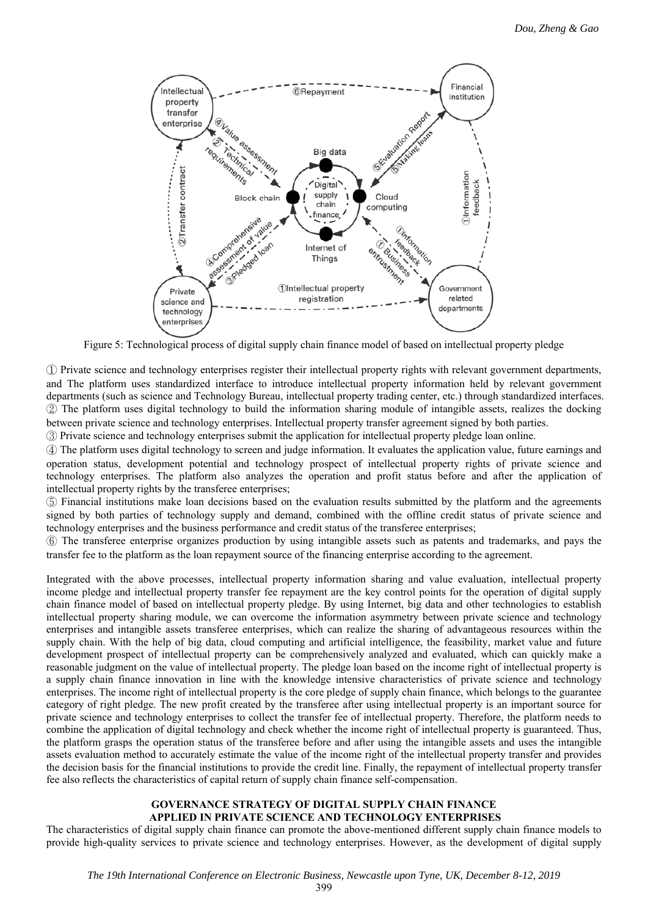

Figure 5: Technological process of digital supply chain finance model of based on intellectual property pledge

① Private science and technology enterprises register their intellectual property rights with relevant government departments, and The platform uses standardized interface to introduce intellectual property information held by relevant government departments (such as science and Technology Bureau, intellectual property trading center, etc.) through standardized interfaces. ② The platform uses digital technology to build the information sharing module of intangible assets, realizes the docking between private science and technology enterprises. Intellectual property transfer agreement signed by both parties.

③ Private science and technology enterprises submit the application for intellectual property pledge loan online.

④ The platform uses digital technology to screen and judge information. It evaluates the application value, future earnings and operation status, development potential and technology prospect of intellectual property rights of private science and technology enterprises. The platform also analyzes the operation and profit status before and after the application of intellectual property rights by the transferee enterprises;

⑤ Financial institutions make loan decisions based on the evaluation results submitted by the platform and the agreements signed by both parties of technology supply and demand, combined with the offline credit status of private science and technology enterprises and the business performance and credit status of the transferee enterprises;

⑥ The transferee enterprise organizes production by using intangible assets such as patents and trademarks, and pays the transfer fee to the platform as the loan repayment source of the financing enterprise according to the agreement.

Integrated with the above processes, intellectual property information sharing and value evaluation, intellectual property income pledge and intellectual property transfer fee repayment are the key control points for the operation of digital supply chain finance model of based on intellectual property pledge. By using Internet, big data and other technologies to establish intellectual property sharing module, we can overcome the information asymmetry between private science and technology enterprises and intangible assets transferee enterprises, which can realize the sharing of advantageous resources within the supply chain. With the help of big data, cloud computing and artificial intelligence, the feasibility, market value and future development prospect of intellectual property can be comprehensively analyzed and evaluated, which can quickly make a reasonable judgment on the value of intellectual property. The pledge loan based on the income right of intellectual property is a supply chain finance innovation in line with the knowledge intensive characteristics of private science and technology enterprises. The income right of intellectual property is the core pledge of supply chain finance, which belongs to the guarantee category of right pledge. The new profit created by the transferee after using intellectual property is an important source for private science and technology enterprises to collect the transfer fee of intellectual property. Therefore, the platform needs to combine the application of digital technology and check whether the income right of intellectual property is guaranteed. Thus, the platform grasps the operation status of the transferee before and after using the intangible assets and uses the intangible assets evaluation method to accurately estimate the value of the income right of the intellectual property transfer and provides the decision basis for the financial institutions to provide the credit line. Finally, the repayment of intellectual property transfer fee also reflects the characteristics of capital return of supply chain finance self-compensation.

## **GOVERNANCE STRATEGY OF DIGITAL SUPPLY CHAIN FINANCE APPLIED IN PRIVATE SCIENCE AND TECHNOLOGY ENTERPRISES**

The characteristics of digital supply chain finance can promote the above-mentioned different supply chain finance models to provide high-quality services to private science and technology enterprises. However, as the development of digital supply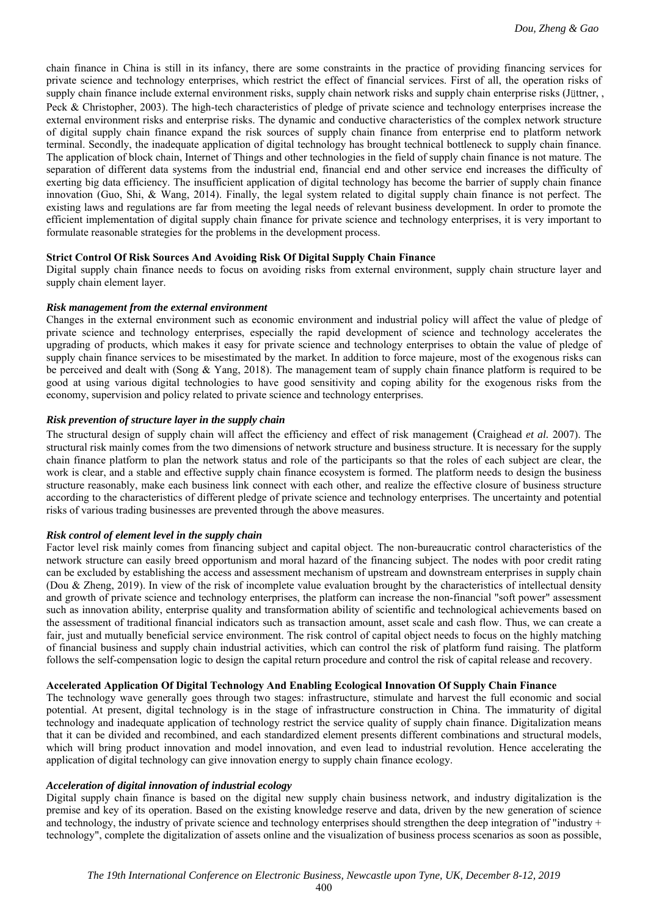chain finance in China is still in its infancy, there are some constraints in the practice of providing financing services for private science and technology enterprises, which restrict the effect of financial services. First of all, the operation risks of supply chain finance include external environment risks, supply chain network risks and supply chain enterprise risks (Jüttner, , Peck & Christopher, 2003). The high-tech characteristics of pledge of private science and technology enterprises increase the external environment risks and enterprise risks. The dynamic and conductive characteristics of the complex network structure of digital supply chain finance expand the risk sources of supply chain finance from enterprise end to platform network terminal. Secondly, the inadequate application of digital technology has brought technical bottleneck to supply chain finance. The application of block chain, Internet of Things and other technologies in the field of supply chain finance is not mature. The separation of different data systems from the industrial end, financial end and other service end increases the difficulty of exerting big data efficiency. The insufficient application of digital technology has become the barrier of supply chain finance innovation (Guo, Shi, & Wang, 2014). Finally, the legal system related to digital supply chain finance is not perfect. The existing laws and regulations are far from meeting the legal needs of relevant business development. In order to promote the efficient implementation of digital supply chain finance for private science and technology enterprises, it is very important to formulate reasonable strategies for the problems in the development process.

## **Strict Control Of Risk Sources And Avoiding Risk Of Digital Supply Chain Finance**

Digital supply chain finance needs to focus on avoiding risks from external environment, supply chain structure layer and supply chain element layer.

#### *Risk management from the external environment*

Changes in the external environment such as economic environment and industrial policy will affect the value of pledge of private science and technology enterprises, especially the rapid development of science and technology accelerates the upgrading of products, which makes it easy for private science and technology enterprises to obtain the value of pledge of supply chain finance services to be misestimated by the market. In addition to force majeure, most of the exogenous risks can be perceived and dealt with (Song & Yang, 2018). The management team of supply chain finance platform is required to be good at using various digital technologies to have good sensitivity and coping ability for the exogenous risks from the economy, supervision and policy related to private science and technology enterprises.

## *Risk prevention of structure layer in the supply chain*

The structural design of supply chain will affect the efficiency and effect of risk management (Craighead *et al.* 2007). The structural risk mainly comes from the two dimensions of network structure and business structure. It is necessary for the supply chain finance platform to plan the network status and role of the participants so that the roles of each subject are clear, the work is clear, and a stable and effective supply chain finance ecosystem is formed. The platform needs to design the business structure reasonably, make each business link connect with each other, and realize the effective closure of business structure according to the characteristics of different pledge of private science and technology enterprises. The uncertainty and potential risks of various trading businesses are prevented through the above measures.

#### *Risk control of element level in the supply chain*

Factor level risk mainly comes from financing subject and capital object. The non-bureaucratic control characteristics of the network structure can easily breed opportunism and moral hazard of the financing subject. The nodes with poor credit rating can be excluded by establishing the access and assessment mechanism of upstream and downstream enterprises in supply chain (Dou & Zheng, 2019). In view of the risk of incomplete value evaluation brought by the characteristics of intellectual density and growth of private science and technology enterprises, the platform can increase the non-financial "soft power" assessment such as innovation ability, enterprise quality and transformation ability of scientific and technological achievements based on the assessment of traditional financial indicators such as transaction amount, asset scale and cash flow. Thus, we can create a fair, just and mutually beneficial service environment. The risk control of capital object needs to focus on the highly matching of financial business and supply chain industrial activities, which can control the risk of platform fund raising. The platform follows the self-compensation logic to design the capital return procedure and control the risk of capital release and recovery.

## **Accelerated Application Of Digital Technology And Enabling Ecological Innovation Of Supply Chain Finance**

The technology wave generally goes through two stages: infrastructure, stimulate and harvest the full economic and social potential. At present, digital technology is in the stage of infrastructure construction in China. The immaturity of digital technology and inadequate application of technology restrict the service quality of supply chain finance. Digitalization means that it can be divided and recombined, and each standardized element presents different combinations and structural models, which will bring product innovation and model innovation, and even lead to industrial revolution. Hence accelerating the application of digital technology can give innovation energy to supply chain finance ecology.

## *Acceleration of digital innovation of industrial ecology*

Digital supply chain finance is based on the digital new supply chain business network, and industry digitalization is the premise and key of its operation. Based on the existing knowledge reserve and data, driven by the new generation of science and technology, the industry of private science and technology enterprises should strengthen the deep integration of "industry + technology", complete the digitalization of assets online and the visualization of business process scenarios as soon as possible,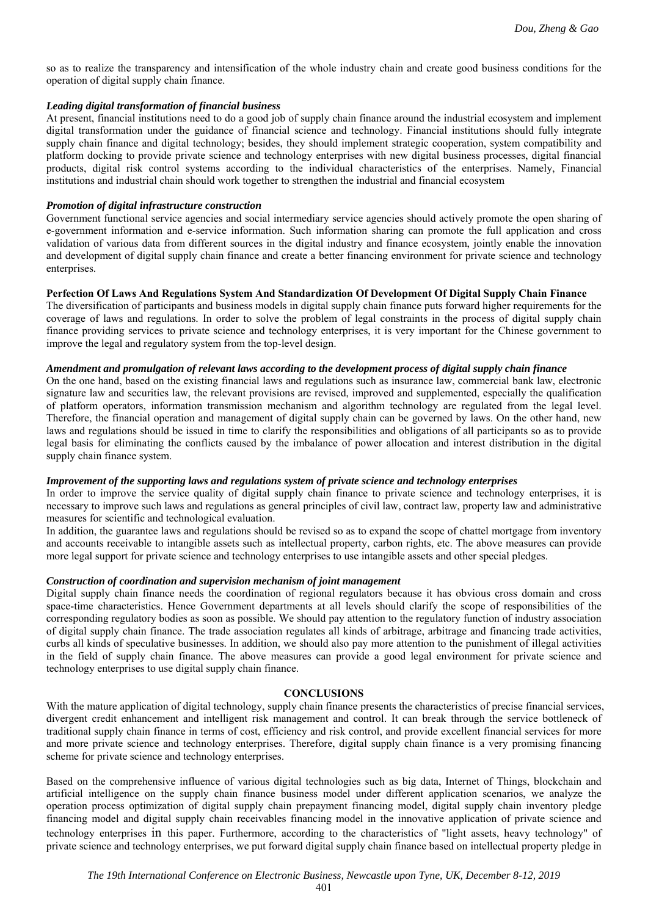so as to realize the transparency and intensification of the whole industry chain and create good business conditions for the operation of digital supply chain finance.

## *Leading digital transformation of financial business*

At present, financial institutions need to do a good job of supply chain finance around the industrial ecosystem and implement digital transformation under the guidance of financial science and technology. Financial institutions should fully integrate supply chain finance and digital technology; besides, they should implement strategic cooperation, system compatibility and platform docking to provide private science and technology enterprises with new digital business processes, digital financial products, digital risk control systems according to the individual characteristics of the enterprises. Namely, Financial institutions and industrial chain should work together to strengthen the industrial and financial ecosystem

## *Promotion of digital infrastructure construction*

Government functional service agencies and social intermediary service agencies should actively promote the open sharing of e-government information and e-service information. Such information sharing can promote the full application and cross validation of various data from different sources in the digital industry and finance ecosystem, jointly enable the innovation and development of digital supply chain finance and create a better financing environment for private science and technology enterprises.

# **Perfection Of Laws And Regulations System And Standardization Of Development Of Digital Supply Chain Finance**

The diversification of participants and business models in digital supply chain finance puts forward higher requirements for the coverage of laws and regulations. In order to solve the problem of legal constraints in the process of digital supply chain finance providing services to private science and technology enterprises, it is very important for the Chinese government to improve the legal and regulatory system from the top-level design.

## *Amendment and promulgation of relevant laws according to the development process of digital supply chain finance*

On the one hand, based on the existing financial laws and regulations such as insurance law, commercial bank law, electronic signature law and securities law, the relevant provisions are revised, improved and supplemented, especially the qualification of platform operators, information transmission mechanism and algorithm technology are regulated from the legal level. Therefore, the financial operation and management of digital supply chain can be governed by laws. On the other hand, new laws and regulations should be issued in time to clarify the responsibilities and obligations of all participants so as to provide legal basis for eliminating the conflicts caused by the imbalance of power allocation and interest distribution in the digital supply chain finance system.

# *Improvement of the supporting laws and regulations system of private science and technology enterprises*

In order to improve the service quality of digital supply chain finance to private science and technology enterprises, it is necessary to improve such laws and regulations as general principles of civil law, contract law, property law and administrative measures for scientific and technological evaluation.

In addition, the guarantee laws and regulations should be revised so as to expand the scope of chattel mortgage from inventory and accounts receivable to intangible assets such as intellectual property, carbon rights, etc. The above measures can provide more legal support for private science and technology enterprises to use intangible assets and other special pledges.

## *Construction of coordination and supervision mechanism of joint management*

Digital supply chain finance needs the coordination of regional regulators because it has obvious cross domain and cross space-time characteristics. Hence Government departments at all levels should clarify the scope of responsibilities of the corresponding regulatory bodies as soon as possible. We should pay attention to the regulatory function of industry association of digital supply chain finance. The trade association regulates all kinds of arbitrage, arbitrage and financing trade activities, curbs all kinds of speculative businesses. In addition, we should also pay more attention to the punishment of illegal activities in the field of supply chain finance. The above measures can provide a good legal environment for private science and technology enterprises to use digital supply chain finance.

#### **CONCLUSIONS**

With the mature application of digital technology, supply chain finance presents the characteristics of precise financial services, divergent credit enhancement and intelligent risk management and control. It can break through the service bottleneck of traditional supply chain finance in terms of cost, efficiency and risk control, and provide excellent financial services for more and more private science and technology enterprises. Therefore, digital supply chain finance is a very promising financing scheme for private science and technology enterprises.

Based on the comprehensive influence of various digital technologies such as big data, Internet of Things, blockchain and artificial intelligence on the supply chain finance business model under different application scenarios, we analyze the operation process optimization of digital supply chain prepayment financing model, digital supply chain inventory pledge financing model and digital supply chain receivables financing model in the innovative application of private science and technology enterprises in this paper. Furthermore, according to the characteristics of "light assets, heavy technology" of private science and technology enterprises, we put forward digital supply chain finance based on intellectual property pledge in